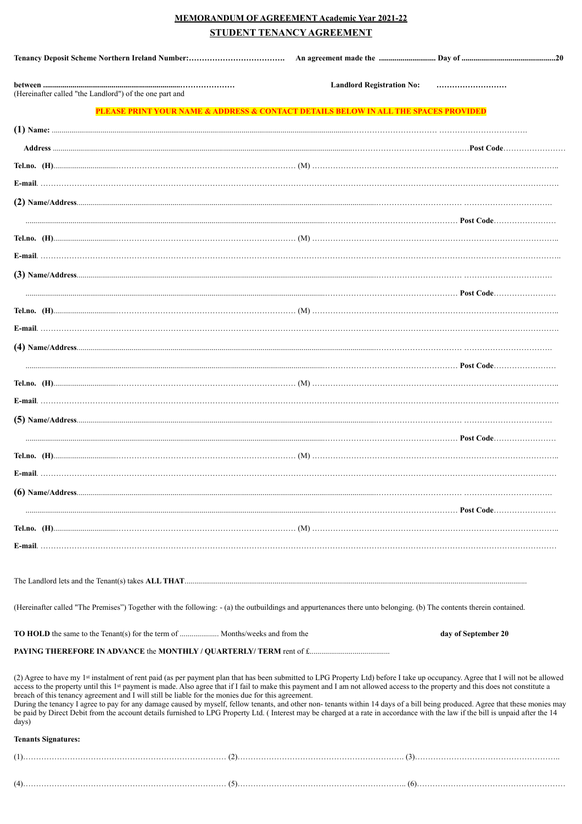# **MEMORANDUM OF AGREEMENT Academic Year 2021-22 STUDENT TENANCY AGREEMENT**

| (Hereinafter called "the Landlord") of the one part and                                                                                                                                                                                                                                                                                                                                                                                                                             | <b>Landlord Registration No:</b>                                                                                                                                                                                                                                                                                                                                             |
|-------------------------------------------------------------------------------------------------------------------------------------------------------------------------------------------------------------------------------------------------------------------------------------------------------------------------------------------------------------------------------------------------------------------------------------------------------------------------------------|------------------------------------------------------------------------------------------------------------------------------------------------------------------------------------------------------------------------------------------------------------------------------------------------------------------------------------------------------------------------------|
|                                                                                                                                                                                                                                                                                                                                                                                                                                                                                     | PLEASE PRINT YOUR NAME & ADDRESS & CONTACT DETAILS BELOW IN ALL THE SPACES PROVIDED                                                                                                                                                                                                                                                                                          |
|                                                                                                                                                                                                                                                                                                                                                                                                                                                                                     |                                                                                                                                                                                                                                                                                                                                                                              |
|                                                                                                                                                                                                                                                                                                                                                                                                                                                                                     |                                                                                                                                                                                                                                                                                                                                                                              |
|                                                                                                                                                                                                                                                                                                                                                                                                                                                                                     |                                                                                                                                                                                                                                                                                                                                                                              |
|                                                                                                                                                                                                                                                                                                                                                                                                                                                                                     |                                                                                                                                                                                                                                                                                                                                                                              |
|                                                                                                                                                                                                                                                                                                                                                                                                                                                                                     |                                                                                                                                                                                                                                                                                                                                                                              |
|                                                                                                                                                                                                                                                                                                                                                                                                                                                                                     |                                                                                                                                                                                                                                                                                                                                                                              |
|                                                                                                                                                                                                                                                                                                                                                                                                                                                                                     |                                                                                                                                                                                                                                                                                                                                                                              |
|                                                                                                                                                                                                                                                                                                                                                                                                                                                                                     |                                                                                                                                                                                                                                                                                                                                                                              |
|                                                                                                                                                                                                                                                                                                                                                                                                                                                                                     |                                                                                                                                                                                                                                                                                                                                                                              |
|                                                                                                                                                                                                                                                                                                                                                                                                                                                                                     |                                                                                                                                                                                                                                                                                                                                                                              |
|                                                                                                                                                                                                                                                                                                                                                                                                                                                                                     |                                                                                                                                                                                                                                                                                                                                                                              |
|                                                                                                                                                                                                                                                                                                                                                                                                                                                                                     |                                                                                                                                                                                                                                                                                                                                                                              |
|                                                                                                                                                                                                                                                                                                                                                                                                                                                                                     |                                                                                                                                                                                                                                                                                                                                                                              |
|                                                                                                                                                                                                                                                                                                                                                                                                                                                                                     |                                                                                                                                                                                                                                                                                                                                                                              |
|                                                                                                                                                                                                                                                                                                                                                                                                                                                                                     |                                                                                                                                                                                                                                                                                                                                                                              |
|                                                                                                                                                                                                                                                                                                                                                                                                                                                                                     |                                                                                                                                                                                                                                                                                                                                                                              |
|                                                                                                                                                                                                                                                                                                                                                                                                                                                                                     |                                                                                                                                                                                                                                                                                                                                                                              |
|                                                                                                                                                                                                                                                                                                                                                                                                                                                                                     |                                                                                                                                                                                                                                                                                                                                                                              |
|                                                                                                                                                                                                                                                                                                                                                                                                                                                                                     |                                                                                                                                                                                                                                                                                                                                                                              |
|                                                                                                                                                                                                                                                                                                                                                                                                                                                                                     |                                                                                                                                                                                                                                                                                                                                                                              |
|                                                                                                                                                                                                                                                                                                                                                                                                                                                                                     |                                                                                                                                                                                                                                                                                                                                                                              |
|                                                                                                                                                                                                                                                                                                                                                                                                                                                                                     |                                                                                                                                                                                                                                                                                                                                                                              |
|                                                                                                                                                                                                                                                                                                                                                                                                                                                                                     |                                                                                                                                                                                                                                                                                                                                                                              |
|                                                                                                                                                                                                                                                                                                                                                                                                                                                                                     |                                                                                                                                                                                                                                                                                                                                                                              |
|                                                                                                                                                                                                                                                                                                                                                                                                                                                                                     |                                                                                                                                                                                                                                                                                                                                                                              |
|                                                                                                                                                                                                                                                                                                                                                                                                                                                                                     |                                                                                                                                                                                                                                                                                                                                                                              |
|                                                                                                                                                                                                                                                                                                                                                                                                                                                                                     |                                                                                                                                                                                                                                                                                                                                                                              |
| (Hereinafter called "The Premises") Together with the following: - (a) the outbuildings and appurtenances there unto belonging. (b) The contents therein contained.                                                                                                                                                                                                                                                                                                                 |                                                                                                                                                                                                                                                                                                                                                                              |
| <b>TO HOLD</b> the same to the Tenant(s) for the term of  Months/weeks and from the                                                                                                                                                                                                                                                                                                                                                                                                 | day of September 20                                                                                                                                                                                                                                                                                                                                                          |
|                                                                                                                                                                                                                                                                                                                                                                                                                                                                                     |                                                                                                                                                                                                                                                                                                                                                                              |
| access to the property until this 1st payment is made. Also agree that if I fail to make this payment and I am not allowed access to the property and this does not constitute a<br>breach of this tenancy agreement and I will still be liable for the monies due for this agreement.<br>be paid by Direct Debit from the account details furnished to LPG Property Ltd. (Interest may be charged at a rate in accordance with the law if the bill is unpaid after the 14<br>days) | (2) Agree to have my 1 <sup>st</sup> instalment of rent paid (as per payment plan that has been submitted to LPG Property Ltd) before I take up occupancy. Agree that I will not be allowed<br>During the tenancy I agree to pay for any damage caused by myself, fellow tenants, and other non-tenants within 14 days of a bill being produced. Agree that these monies may |
| <b>Tenants Signatures:</b>                                                                                                                                                                                                                                                                                                                                                                                                                                                          |                                                                                                                                                                                                                                                                                                                                                                              |
|                                                                                                                                                                                                                                                                                                                                                                                                                                                                                     |                                                                                                                                                                                                                                                                                                                                                                              |
|                                                                                                                                                                                                                                                                                                                                                                                                                                                                                     |                                                                                                                                                                                                                                                                                                                                                                              |
|                                                                                                                                                                                                                                                                                                                                                                                                                                                                                     |                                                                                                                                                                                                                                                                                                                                                                              |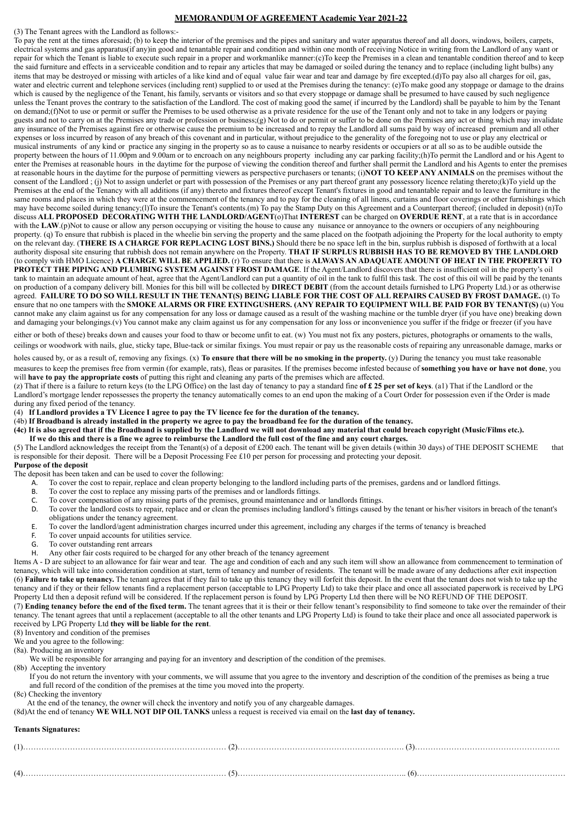#### **MEMORANDUM OF AGREEMENT Academic Year 2021-22**

(3) The Tenant agrees with the Landlord as follows:-

To pay the rent at the times aforesaid; (b) to keep the interior of the premises and the pipes and sanitary and water apparatus thereof and all doors, windows, boilers, carpets, electrical systems and gas apparatus(if any)in good and tenantable repair and condition and within one month of receiving Notice in writing from the Landlord of any want or repair for which the Tenant is liable to execute such repair in a proper and workmanlike manner:(c)To keep the Premises in a clean and tenantable condition thereof and to keep the said furniture and effects in a serviceable condition and to repair any articles that may be damaged or soiled during the tenancy and to replace (including light bulbs) any items that may be destroyed or missing with articles of a like kind and of equal value fair wear and tear and damage by fire excepted.(d)To pay also all charges for oil, gas, water and electric current and telephone services (including rent) supplied to or used at the Premises during the tenancy: (e)To make good any stoppage or damage to the drains which is caused by the negligence of the Tenant, his family, servants or visitors and so that every stoppage or damage shall be presumed to have caused by such negligence unless the Tenant proves the contrary to the satisfaction of the Landlord. The cost of making good the same( if incurred by the Landlord) shall be payable to him by the Tenant on demand;(f)Not to use or permit or suffer the Premises to be used otherwise as a private residence for the use of the Tenant only and not to take in any lodgers or paying guests and not to carry on at the Premises any trade or profession or business;(g) Not to do or permit or suffer to be done on the Premises any act or thing which may invalidate any insurance of the Premises against fire or otherwise cause the premium to be increased and to repay the Landlord all sums paid by way of increased premium and all other expenses or loss incurred by reason of any breach of this covenant and in particular, without prejudice to the generality of the foregoing not to use or play any electrical or musical instruments of any kind or practice any singing in the property so as to cause a nuisance to nearby residents or occupiers or at all so as to be audible outside the property between the hours of 11.00pm and 9.00am or to encroach on any neighbours property including any car parking facility;(h)To permit the Landlord and or his Agent to enter the Premises at reasonable hours in the daytime for the purpose of viewing the condition thereof and further shall permit the Landlord and his Agents to enter the premises at reasonable hours in the daytime for the purpose of permitting viewers as perspective purchasers or tenants; (i)**NOT TO KEEP ANY ANIMALS** on the premises without the consent of the Landlord ; (j) Not to assign underlet or part with possession of the Premises or any part thereof grant any possessory licence relating thereto;(k)To yield up the Premises at the end of the Tenancy with all additions (if any) thereto and fixtures thereof except Tenant's fixtures in good and tenantable repair and to leave the furniture in the same rooms and places in which they were at the commencement of the tenancy and to pay for the cleaning of all linens, curtains and floor coverings or other furnishings which may have become soiled during tenancy;(l)To insure the Tenant's contents.(m) To pay the Stamp Duty on this Agreement and a Counterpart thereof; (included in deposit) (n)To discuss **ALL PROPOSED DECORATING WITH THE LANDLORD/AGENT**(o)That **INTEREST** can be charged on **OVERDUE RENT**, at a rate that is in accordance with the LAW.(p)Not to cause or allow any person occupying or visiting the house to cause any nuisance or annoyance to the owners or occupiers of any neighbouring property. (q) To ensure that rubbish is placed in the wheelie bin serving the property and the same placed on the footpath adjoining the Property for the local authority to empty on the relevant day. (**THERE IS A CHARGE FOR REPLACING LOST BINS.)** Should there be no space left in the bin, surplus rubbish is disposed of forthwith at a local authority disposal site ensuring that rubbish does not remain anywhere on the Property. **THAT IF SURPLUS RUBBISH HAS TO BE REMOVED BY THE LANDLORD** (to comply with HMO Licence) **A CHARGE WILL BE APPLIED.** (r) To ensure that there is **ALWAYS AN ADAQUATE AMOUNT OF HEAT IN THE PROPERTY TO PROTECT THE PIPING AND PLUMBING SYSTEM AGAINST FROST DAMAGE**. If the Agent/Landlord discovers that there is insufficient oil in the property's oil tank to maintain an adequate amount of heat, agree that the Agent/Landlord can put a quantity of oil in the tank to fulfil this task. The cost of this oil will be paid by the tenants on production of a company delivery bill. Monies for this bill will be collected by **DIRECT DEBIT** (from the account details furnished to LPG Property Ltd.) or as otherwise agreed. **FAILURE TO DO SO WILL RESULT IN THE TENANT(S) BEING LIABLE FOR THE COST OF ALL REPAIRS CAUSED BY FROST DAMAGE.** (t) To ensure that no one tampers with the **SMOKE ALARMS OR FIRE EXTINGUSHERS. (ANY REPAIR TO EQUIPMENT WILL BE PAID FOR BY TENANT(S)** (u) You cannot make any claim against us for any compensation for any loss or damage caused as a result of the washing machine or the tumble dryer (if you have one) breaking down and damaging your belongings.(v) You cannot make any claim against us for any compensation for any loss or inconvenience you suffer if the fridge or freezer (if you have

either or both of these) breaks down and causes your food to thaw or become unfit to eat. (w) You must not fix any posters, pictures, photographs or ornaments to the walls, ceilings or woodwork with nails, glue, sticky tape, Blue-tack or similar fixings. You must repair or pay us the reasonable costs of repairing any unreasonable damage, marks or

holes caused by, or as a result of, removing any fixings. (x) To ensure that there will be no smoking in the property. (y) During the tenancy you must take reasonable measures to keep the premises free from vermin (for example, rats), fleas or parasites. If the premises become infested because of **something you have or have not done**, you will **have to pay the appropriate costs** of putting this right and cleaning any parts of the premises which are affected.

(z) That if there is a failure to return keys (to the LPG Office) on the last day of tenancy to pay a standard fine **of £ 25 per set of keys**. (a1) That if the Landlord or the Landlord's mortgage lender repossesses the property the tenancy automatically comes to an end upon the making of a Court Order for possession even if the Order is made during any fixed period of the tenancy.

(4) **If Landlord provides a TV Licence I agree to pay the TV licence fee for the duration of the tenancy.** 

(4b) **If Broadband is already installed in the property we agree to pay the broadband fee for the duration of the tenancy.** 

**(4c) It is also agreed that if the Broadband is supplied by the Landlord we will not download any material that could breach copyright (Music/Films etc.). If we do this and there is a fine we agree to reimburse the Landlord the full cost of the fine and any court charges.** 

(5) The Landlord acknowledges the receipt from the Tenant(s) of a deposit of £200 each. The tenant will be given details (within 30 days) of THE DEPOSIT SCHEME that is responsible for their deposit. There will be a Deposit Processing Fee £10 per person for processing and protecting your deposit. **Purpose of the deposit** 

- The deposit has been taken and can be used to cover the following:
	- A. To cover the cost to repair, replace and clean property belonging to the landlord including parts of the premises, gardens and or landlord fittings.
	-
	- B. To cover the cost to replace any missing parts of the premises and or landlords fittings.<br>C. To cover compensation of any missing parts of the premises ground maintenance and To cover compensation of any missing parts of the premises, ground maintenance and or landlords fittings.
	- D. To cover the landlord costs to repair, replace and or clean the premises including landlord's fittings caused by the tenant or his/her visitors in breach of the tenant's obligations under the tenancy agreement.
	- E. To cover the landlord/agent administration charges incurred under this agreement, including any charges if the terms of tenancy is breached
	- F. To cover unpaid accounts for utilities service.
	- G. To cover outstanding rent arrears
	- H. Any other fair costs required to be charged for any other breach of the tenancy agreement

Items A - D are subject to an allowance for fair wear and tear. The age and condition of each and any such item will show an allowance from commencement to termination of tenancy, which will take into consideration condition at start, term of tenancy and number of residents. The tenant will be made aware of any deductions after exit inspection (6) **Failure to take up tenancy.** The tenant agrees that if they fail to take up this tenancy they will forfeit this deposit. In the event that the tenant does not wish to take up the tenancy and if they or their fellow tenants find a replacement person (acceptable to LPG Property Ltd) to take their place and once all associated paperwork is received by LPG Property Ltd then a deposit refund will be considered. If the replacement person is found by LPG Property Ltd then there will be NO REFUND OF THE DEPOSIT. (7) **Ending tenancy before the end of the fixed term.** The tenant agrees that it is their or their fellow tenant's responsibility to find someone to take over the remainder of their tenancy. The tenant agrees that until a replacement (acceptable to all the other tenants and LPG Property Ltd) is found to take their place and once all associated paperwork is received by LPG Property Ltd **they will be liable for the rent**.

(8) Inventory and condition of the premises

We and you agree to the following: (8a). Producing an inventory

We will be responsible for arranging and paying for an inventory and description of the condition of the premises.

- (8b) Accepting the inventory
- If you do not return the inventory with your comments, we will assume that you agree to the inventory and description of the condition of the premises as being a true and full record of the condition of the premises at the time you moved into the property.
- (8c) Checking the inventory
- At the end of the tenancy, the owner will check the inventory and notify you of any chargeable damages.
- (8d)At the end of tenancy **WE WILL NOT DIP OIL TANKS** unless a request is received via email on the **last day of tenancy.**

### **Tenants Signatures:**

| . <b>. .</b> |  |  |
|--------------|--|--|
| .            |  |  |